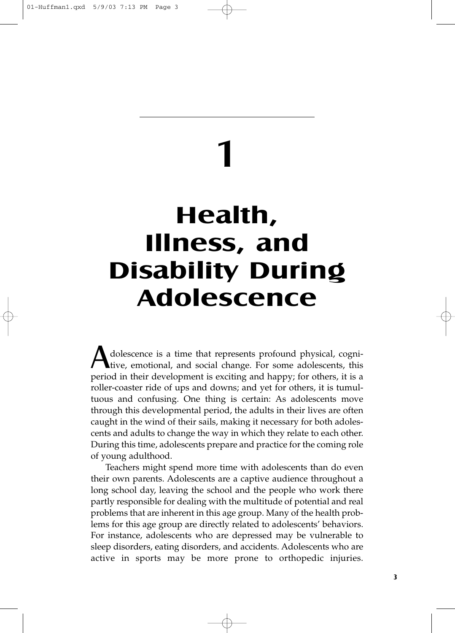# **Health, Illness, and Disability During Adolescence**

1

Adolescence is a time that represents profound physical, cognitive, emotional, and social change. For some adolescents, this period in their development is exciting and happy; for others, it is a roller-coaster ride of ups and downs; and yet for others, it is tumultuous and confusing. One thing is certain: As adolescents move through this developmental period, the adults in their lives are often caught in the wind of their sails, making it necessary for both adolescents and adults to change the way in which they relate to each other. During this time, adolescents prepare and practice for the coming role of young adulthood.

Teachers might spend more time with adolescents than do even their own parents. Adolescents are a captive audience throughout a long school day, leaving the school and the people who work there partly responsible for dealing with the multitude of potential and real problems that are inherent in this age group. Many of the health problems for this age group are directly related to adolescents' behaviors. For instance, adolescents who are depressed may be vulnerable to sleep disorders, eating disorders, and accidents. Adolescents who are active in sports may be more prone to orthopedic injuries.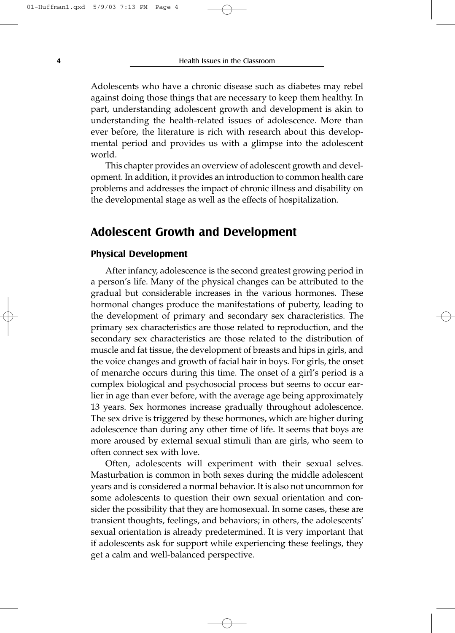Adolescents who have a chronic disease such as diabetes may rebel against doing those things that are necessary to keep them healthy. In part, understanding adolescent growth and development is akin to understanding the health-related issues of adolescence. More than ever before, the literature is rich with research about this developmental period and provides us with a glimpse into the adolescent world.

This chapter provides an overview of adolescent growth and development. In addition, it provides an introduction to common health care problems and addresses the impact of chronic illness and disability on the developmental stage as well as the effects of hospitalization.

## **Adolescent Growth and Development**

#### **Physical Development**

After infancy, adolescence is the second greatest growing period in a person's life. Many of the physical changes can be attributed to the gradual but considerable increases in the various hormones. These hormonal changes produce the manifestations of puberty, leading to the development of primary and secondary sex characteristics. The primary sex characteristics are those related to reproduction, and the secondary sex characteristics are those related to the distribution of muscle and fat tissue, the development of breasts and hips in girls, and the voice changes and growth of facial hair in boys. For girls, the onset of menarche occurs during this time. The onset of a girl's period is a complex biological and psychosocial process but seems to occur earlier in age than ever before, with the average age being approximately 13 years. Sex hormones increase gradually throughout adolescence. The sex drive is triggered by these hormones, which are higher during adolescence than during any other time of life. It seems that boys are more aroused by external sexual stimuli than are girls, who seem to often connect sex with love.

Often, adolescents will experiment with their sexual selves. Masturbation is common in both sexes during the middle adolescent years and is considered a normal behavior. It is also not uncommon for some adolescents to question their own sexual orientation and consider the possibility that they are homosexual. In some cases, these are transient thoughts, feelings, and behaviors; in others, the adolescents' sexual orientation is already predetermined. It is very important that if adolescents ask for support while experiencing these feelings, they get a calm and well-balanced perspective.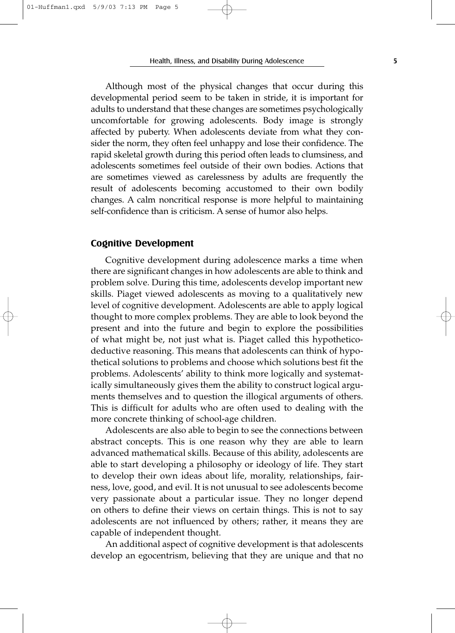Health, Illness, and Disability During Adolescence **5**

Although most of the physical changes that occur during this developmental period seem to be taken in stride, it is important for adults to understand that these changes are sometimes psychologically uncomfortable for growing adolescents. Body image is strongly affected by puberty. When adolescents deviate from what they consider the norm, they often feel unhappy and lose their confidence. The rapid skeletal growth during this period often leads to clumsiness, and adolescents sometimes feel outside of their own bodies. Actions that are sometimes viewed as carelessness by adults are frequently the result of adolescents becoming accustomed to their own bodily changes. A calm noncritical response is more helpful to maintaining self-confidence than is criticism. A sense of humor also helps.

#### **Cognitive Development**

Cognitive development during adolescence marks a time when there are significant changes in how adolescents are able to think and problem solve. During this time, adolescents develop important new skills. Piaget viewed adolescents as moving to a qualitatively new level of cognitive development. Adolescents are able to apply logical thought to more complex problems. They are able to look beyond the present and into the future and begin to explore the possibilities of what might be, not just what is. Piaget called this hypotheticodeductive reasoning. This means that adolescents can think of hypothetical solutions to problems and choose which solutions best fit the problems. Adolescents' ability to think more logically and systematically simultaneously gives them the ability to construct logical arguments themselves and to question the illogical arguments of others. This is difficult for adults who are often used to dealing with the more concrete thinking of school-age children.

Adolescents are also able to begin to see the connections between abstract concepts. This is one reason why they are able to learn advanced mathematical skills. Because of this ability, adolescents are able to start developing a philosophy or ideology of life. They start to develop their own ideas about life, morality, relationships, fairness, love, good, and evil. It is not unusual to see adolescents become very passionate about a particular issue. They no longer depend on others to define their views on certain things. This is not to say adolescents are not influenced by others; rather, it means they are capable of independent thought.

An additional aspect of cognitive development is that adolescents develop an egocentrism, believing that they are unique and that no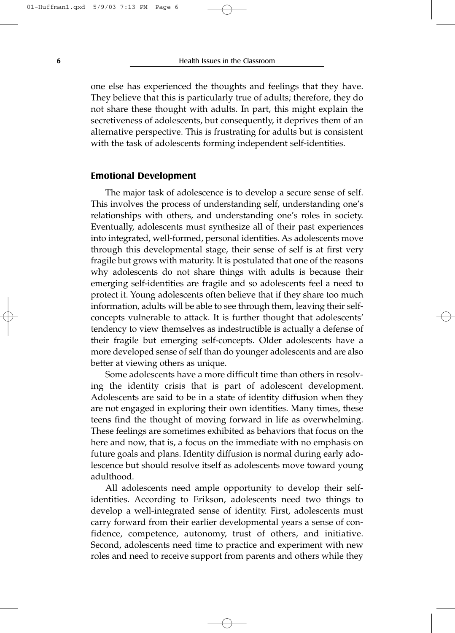one else has experienced the thoughts and feelings that they have. They believe that this is particularly true of adults; therefore, they do not share these thought with adults. In part, this might explain the secretiveness of adolescents, but consequently, it deprives them of an alternative perspective. This is frustrating for adults but is consistent with the task of adolescents forming independent self-identities.

#### **Emotional Development**

The major task of adolescence is to develop a secure sense of self. This involves the process of understanding self, understanding one's relationships with others, and understanding one's roles in society. Eventually, adolescents must synthesize all of their past experiences into integrated, well-formed, personal identities. As adolescents move through this developmental stage, their sense of self is at first very fragile but grows with maturity. It is postulated that one of the reasons why adolescents do not share things with adults is because their emerging self-identities are fragile and so adolescents feel a need to protect it. Young adolescents often believe that if they share too much information, adults will be able to see through them, leaving their selfconcepts vulnerable to attack. It is further thought that adolescents' tendency to view themselves as indestructible is actually a defense of their fragile but emerging self-concepts. Older adolescents have a more developed sense of self than do younger adolescents and are also better at viewing others as unique.

Some adolescents have a more difficult time than others in resolving the identity crisis that is part of adolescent development. Adolescents are said to be in a state of identity diffusion when they are not engaged in exploring their own identities. Many times, these teens find the thought of moving forward in life as overwhelming. These feelings are sometimes exhibited as behaviors that focus on the here and now, that is, a focus on the immediate with no emphasis on future goals and plans. Identity diffusion is normal during early adolescence but should resolve itself as adolescents move toward young adulthood.

All adolescents need ample opportunity to develop their selfidentities. According to Erikson, adolescents need two things to develop a well-integrated sense of identity. First, adolescents must carry forward from their earlier developmental years a sense of confidence, competence, autonomy, trust of others, and initiative. Second, adolescents need time to practice and experiment with new roles and need to receive support from parents and others while they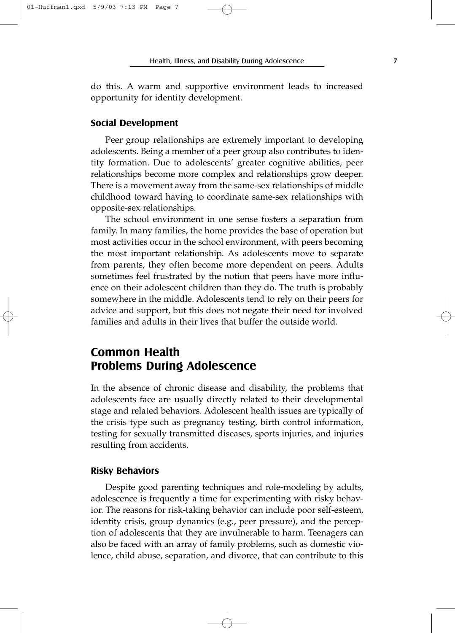do this. A warm and supportive environment leads to increased opportunity for identity development.

#### **Social Development**

Peer group relationships are extremely important to developing adolescents. Being a member of a peer group also contributes to identity formation. Due to adolescents' greater cognitive abilities, peer relationships become more complex and relationships grow deeper. There is a movement away from the same-sex relationships of middle childhood toward having to coordinate same-sex relationships with opposite-sex relationships.

The school environment in one sense fosters a separation from family. In many families, the home provides the base of operation but most activities occur in the school environment, with peers becoming the most important relationship. As adolescents move to separate from parents, they often become more dependent on peers. Adults sometimes feel frustrated by the notion that peers have more influence on their adolescent children than they do. The truth is probably somewhere in the middle. Adolescents tend to rely on their peers for advice and support, but this does not negate their need for involved families and adults in their lives that buffer the outside world.

## **Common Health Problems During Adolescence**

In the absence of chronic disease and disability, the problems that adolescents face are usually directly related to their developmental stage and related behaviors. Adolescent health issues are typically of the crisis type such as pregnancy testing, birth control information, testing for sexually transmitted diseases, sports injuries, and injuries resulting from accidents.

#### **Risky Behaviors**

Despite good parenting techniques and role-modeling by adults, adolescence is frequently a time for experimenting with risky behavior. The reasons for risk-taking behavior can include poor self-esteem, identity crisis, group dynamics (e.g., peer pressure), and the perception of adolescents that they are invulnerable to harm. Teenagers can also be faced with an array of family problems, such as domestic violence, child abuse, separation, and divorce, that can contribute to this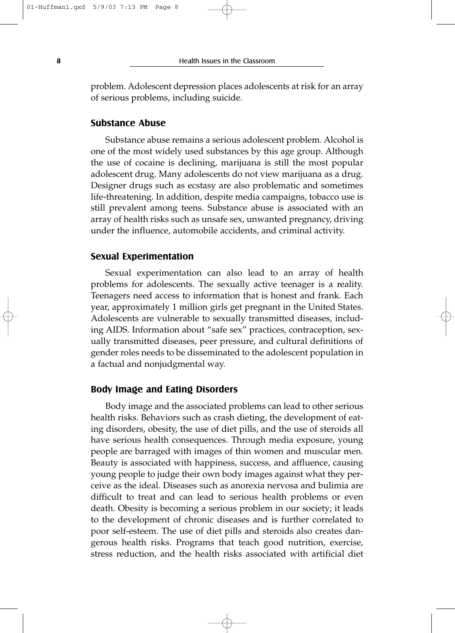problem. Adolescent depression places adolescents at risk for an array of serious problems, including suicide.

#### **Substance Abuse**

Substance abuse remains a serious adolescent problem. Alcohol is one of the most widely used substances by this age group. Although the use of cocaine is declining, marijuana is still the most popular adolescent drug. Many adolescents do not view marijuana as a drug. Designer drugs such as ecstasy are also problematic and sometimes life-threatening. In addition, despite media campaigns, tobacco use is still prevalent among teens. Substance abuse is associated with an array of health risks such as unsafe sex, unwanted pregnancy, driving under the influence, automobile accidents, and criminal activity.

#### **Sexual Experimentation**

Sexual experimentation can also lead to an array of health problems for adolescents. The sexually active teenager is a reality. Teenagers need access to information that is honest and frank. Each year, approximately 1 million girls get pregnant in the United States. Adolescents are vulnerable to sexually transmitted diseases, including AIDS. Information about "safe sex" practices, contraception, sexually transmitted diseases, peer pressure, and cultural definitions of gender roles needs to be disseminated to the adolescent population in a factual and nonjudgmental way.

#### **Body Image and Eating Disorders**

Body image and the associated problems can lead to other serious health risks. Behaviors such as crash dieting, the development of eating disorders, obesity, the use of diet pills, and the use of steroids all have serious health consequences. Through media exposure, young people are barraged with images of thin women and muscular men. Beauty is associated with happiness, success, and affluence, causing young people to judge their own body images against what they perceive as the ideal. Diseases such as anorexia nervosa and bulimia are difficult to treat and can lead to serious health problems or even death. Obesity is becoming a serious problem in our society; it leads to the development of chronic diseases and is further correlated to poor self-esteem. The use of diet pills and steroids also creates dangerous health risks. Programs that teach good nutrition, exercise, stress reduction, and the health risks associated with artificial diet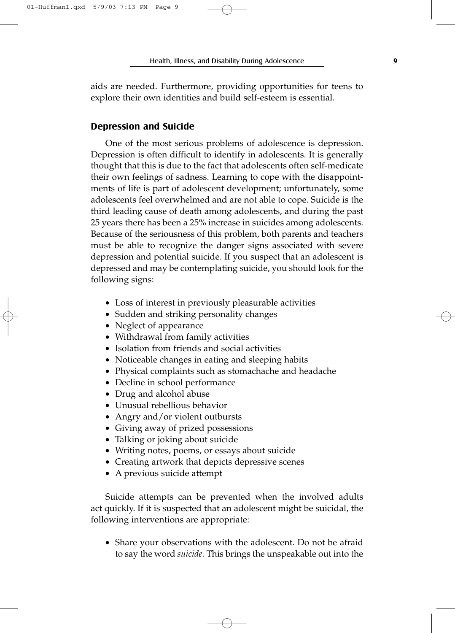aids are needed. Furthermore, providing opportunities for teens to explore their own identities and build self-esteem is essential.

#### **Depression and Suicide**

One of the most serious problems of adolescence is depression. Depression is often difficult to identify in adolescents. It is generally thought that this is due to the fact that adolescents often self-medicate their own feelings of sadness. Learning to cope with the disappointments of life is part of adolescent development; unfortunately, some adolescents feel overwhelmed and are not able to cope. Suicide is the third leading cause of death among adolescents, and during the past 25 years there has been a 25% increase in suicides among adolescents. Because of the seriousness of this problem, both parents and teachers must be able to recognize the danger signs associated with severe depression and potential suicide. If you suspect that an adolescent is depressed and may be contemplating suicide, you should look for the following signs:

- Loss of interest in previously pleasurable activities
- Sudden and striking personality changes
- Neglect of appearance
- Withdrawal from family activities
- Isolation from friends and social activities
- Noticeable changes in eating and sleeping habits
- Physical complaints such as stomachache and headache
- Decline in school performance
- Drug and alcohol abuse
- Unusual rebellious behavior
- Angry and/or violent outbursts
- Giving away of prized possessions
- Talking or joking about suicide
- Writing notes, poems, or essays about suicide
- Creating artwork that depicts depressive scenes
- A previous suicide attempt

Suicide attempts can be prevented when the involved adults act quickly. If it is suspected that an adolescent might be suicidal, the following interventions are appropriate:

• Share your observations with the adolescent. Do not be afraid to say the word *suicide.* This brings the unspeakable out into the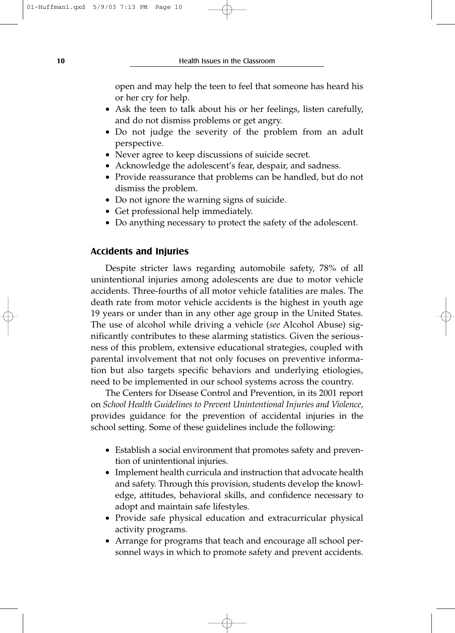**10 Health Issues in the Classroom** 

open and may help the teen to feel that someone has heard his or her cry for help.

- Ask the teen to talk about his or her feelings, listen carefully, and do not dismiss problems or get angry.
- Do not judge the severity of the problem from an adult perspective.
- Never agree to keep discussions of suicide secret.
- Acknowledge the adolescent's fear, despair, and sadness.
- Provide reassurance that problems can be handled, but do not dismiss the problem.
- Do not ignore the warning signs of suicide.
- Get professional help immediately.
- Do anything necessary to protect the safety of the adolescent.

#### **Accidents and Injuries**

Despite stricter laws regarding automobile safety, 78% of all unintentional injuries among adolescents are due to motor vehicle accidents. Three-fourths of all motor vehicle fatalities are males. The death rate from motor vehicle accidents is the highest in youth age 19 years or under than in any other age group in the United States. The use of alcohol while driving a vehicle (*see* Alcohol Abuse) significantly contributes to these alarming statistics. Given the seriousness of this problem, extensive educational strategies, coupled with parental involvement that not only focuses on preventive information but also targets specific behaviors and underlying etiologies, need to be implemented in our school systems across the country.

The Centers for Disease Control and Prevention, in its 2001 report on *School Health Guidelines to Prevent Unintentional Injuries and Violence,* provides guidance for the prevention of accidental injuries in the school setting. Some of these guidelines include the following:

- Establish a social environment that promotes safety and prevention of unintentional injuries.
- Implement health curricula and instruction that advocate health and safety. Through this provision, students develop the knowledge, attitudes, behavioral skills, and confidence necessary to adopt and maintain safe lifestyles.
- Provide safe physical education and extracurricular physical activity programs.
- Arrange for programs that teach and encourage all school personnel ways in which to promote safety and prevent accidents.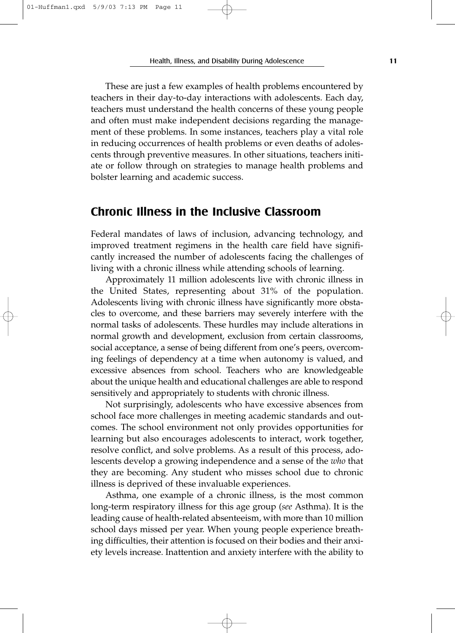These are just a few examples of health problems encountered by teachers in their day-to-day interactions with adolescents. Each day, teachers must understand the health concerns of these young people and often must make independent decisions regarding the management of these problems. In some instances, teachers play a vital role in reducing occurrences of health problems or even deaths of adolescents through preventive measures. In other situations, teachers initiate or follow through on strategies to manage health problems and bolster learning and academic success.

## **Chronic Illness in the Inclusive Classroom**

Federal mandates of laws of inclusion, advancing technology, and improved treatment regimens in the health care field have significantly increased the number of adolescents facing the challenges of living with a chronic illness while attending schools of learning.

Approximately 11 million adolescents live with chronic illness in the United States, representing about 31% of the population. Adolescents living with chronic illness have significantly more obstacles to overcome, and these barriers may severely interfere with the normal tasks of adolescents. These hurdles may include alterations in normal growth and development, exclusion from certain classrooms, social acceptance, a sense of being different from one's peers, overcoming feelings of dependency at a time when autonomy is valued, and excessive absences from school. Teachers who are knowledgeable about the unique health and educational challenges are able to respond sensitively and appropriately to students with chronic illness.

Not surprisingly, adolescents who have excessive absences from school face more challenges in meeting academic standards and outcomes. The school environment not only provides opportunities for learning but also encourages adolescents to interact, work together, resolve conflict, and solve problems. As a result of this process, adolescents develop a growing independence and a sense of the *who* that they are becoming. Any student who misses school due to chronic illness is deprived of these invaluable experiences.

Asthma, one example of a chronic illness, is the most common long-term respiratory illness for this age group (*see* Asthma). It is the leading cause of health-related absenteeism, with more than 10 million school days missed per year. When young people experience breathing difficulties, their attention is focused on their bodies and their anxiety levels increase. Inattention and anxiety interfere with the ability to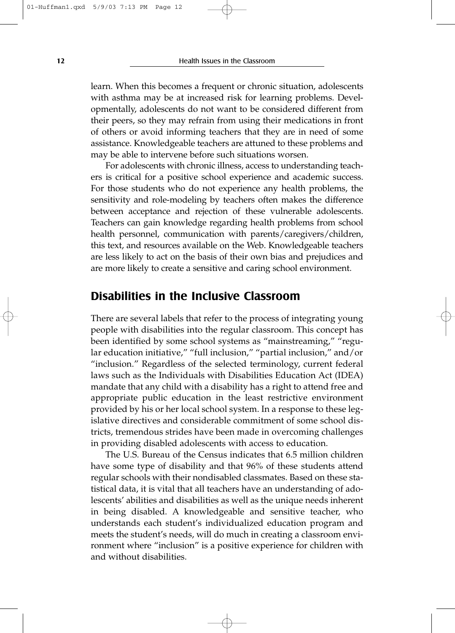learn. When this becomes a frequent or chronic situation, adolescents with asthma may be at increased risk for learning problems. Developmentally, adolescents do not want to be considered different from their peers, so they may refrain from using their medications in front of others or avoid informing teachers that they are in need of some assistance. Knowledgeable teachers are attuned to these problems and may be able to intervene before such situations worsen.

For adolescents with chronic illness, access to understanding teachers is critical for a positive school experience and academic success. For those students who do not experience any health problems, the sensitivity and role-modeling by teachers often makes the difference between acceptance and rejection of these vulnerable adolescents. Teachers can gain knowledge regarding health problems from school health personnel, communication with parents/caregivers/children, this text, and resources available on the Web. Knowledgeable teachers are less likely to act on the basis of their own bias and prejudices and are more likely to create a sensitive and caring school environment.

## **Disabilities in the Inclusive Classroom**

There are several labels that refer to the process of integrating young people with disabilities into the regular classroom. This concept has been identified by some school systems as "mainstreaming," "regular education initiative," "full inclusion," "partial inclusion," and/or "inclusion." Regardless of the selected terminology, current federal laws such as the Individuals with Disabilities Education Act (IDEA) mandate that any child with a disability has a right to attend free and appropriate public education in the least restrictive environment provided by his or her local school system. In a response to these legislative directives and considerable commitment of some school districts, tremendous strides have been made in overcoming challenges in providing disabled adolescents with access to education.

The U.S. Bureau of the Census indicates that 6.5 million children have some type of disability and that 96% of these students attend regular schools with their nondisabled classmates. Based on these statistical data, it is vital that all teachers have an understanding of adolescents' abilities and disabilities as well as the unique needs inherent in being disabled. A knowledgeable and sensitive teacher, who understands each student's individualized education program and meets the student's needs, will do much in creating a classroom environment where "inclusion" is a positive experience for children with and without disabilities.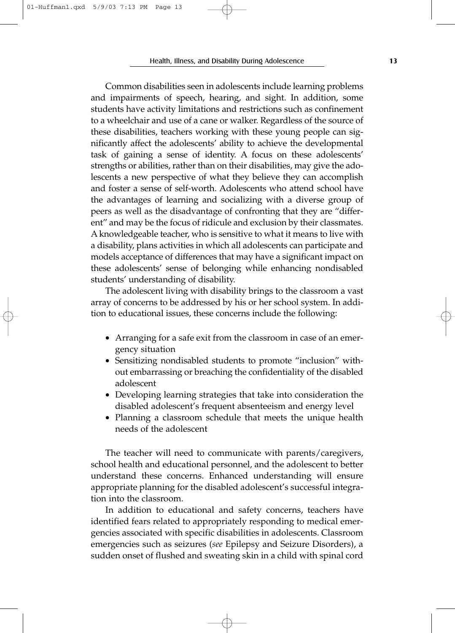Common disabilities seen in adolescents include learning problems and impairments of speech, hearing, and sight. In addition, some students have activity limitations and restrictions such as confinement to a wheelchair and use of a cane or walker. Regardless of the source of these disabilities, teachers working with these young people can significantly affect the adolescents' ability to achieve the developmental task of gaining a sense of identity. A focus on these adolescents' strengths or abilities, rather than on their disabilities, may give the adolescents a new perspective of what they believe they can accomplish and foster a sense of self-worth. Adolescents who attend school have the advantages of learning and socializing with a diverse group of peers as well as the disadvantage of confronting that they are "different" and may be the focus of ridicule and exclusion by their classmates. A knowledgeable teacher, who is sensitive to what it means to live with a disability, plans activities in which all adolescents can participate and models acceptance of differences that may have a significant impact on these adolescents' sense of belonging while enhancing nondisabled students' understanding of disability.

The adolescent living with disability brings to the classroom a vast array of concerns to be addressed by his or her school system. In addition to educational issues, these concerns include the following:

- Arranging for a safe exit from the classroom in case of an emergency situation
- Sensitizing nondisabled students to promote "inclusion" without embarrassing or breaching the confidentiality of the disabled adolescent
- Developing learning strategies that take into consideration the disabled adolescent's frequent absenteeism and energy level
- Planning a classroom schedule that meets the unique health needs of the adolescent

The teacher will need to communicate with parents/caregivers, school health and educational personnel, and the adolescent to better understand these concerns. Enhanced understanding will ensure appropriate planning for the disabled adolescent's successful integration into the classroom.

In addition to educational and safety concerns, teachers have identified fears related to appropriately responding to medical emergencies associated with specific disabilities in adolescents. Classroom emergencies such as seizures (*see* Epilepsy and Seizure Disorders), a sudden onset of flushed and sweating skin in a child with spinal cord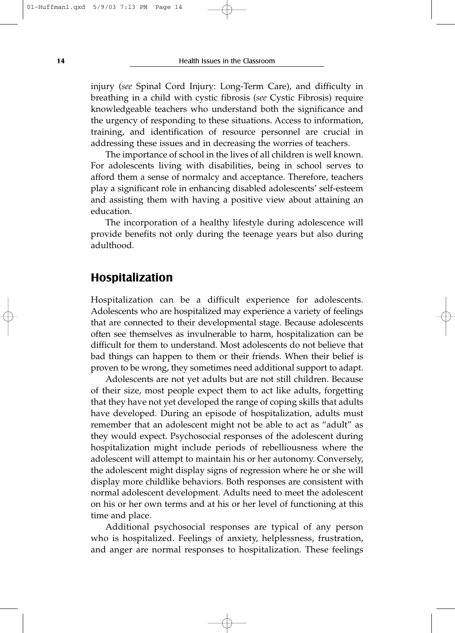injury (*see* Spinal Cord Injury: Long-Term Care), and difficulty in breathing in a child with cystic fibrosis (*see* Cystic Fibrosis) require knowledgeable teachers who understand both the significance and the urgency of responding to these situations. Access to information, training, and identification of resource personnel are crucial in addressing these issues and in decreasing the worries of teachers.

The importance of school in the lives of all children is well known. For adolescents living with disabilities, being in school serves to afford them a sense of normalcy and acceptance. Therefore, teachers play a significant role in enhancing disabled adolescents' self-esteem and assisting them with having a positive view about attaining an education.

The incorporation of a healthy lifestyle during adolescence will provide benefits not only during the teenage years but also during adulthood.

## **Hospitalization**

Hospitalization can be a difficult experience for adolescents. Adolescents who are hospitalized may experience a variety of feelings that are connected to their developmental stage. Because adolescents often see themselves as invulnerable to harm, hospitalization can be difficult for them to understand. Most adolescents do not believe that bad things can happen to them or their friends. When their belief is proven to be wrong, they sometimes need additional support to adapt.

Adolescents are not yet adults but are not still children. Because of their size, most people expect them to act like adults, forgetting that they have not yet developed the range of coping skills that adults have developed. During an episode of hospitalization, adults must remember that an adolescent might not be able to act as "adult" as they would expect. Psychosocial responses of the adolescent during hospitalization might include periods of rebelliousness where the adolescent will attempt to maintain his or her autonomy. Conversely, the adolescent might display signs of regression where he or she will display more childlike behaviors. Both responses are consistent with normal adolescent development. Adults need to meet the adolescent on his or her own terms and at his or her level of functioning at this time and place.

Additional psychosocial responses are typical of any person who is hospitalized. Feelings of anxiety, helplessness, frustration, and anger are normal responses to hospitalization. These feelings